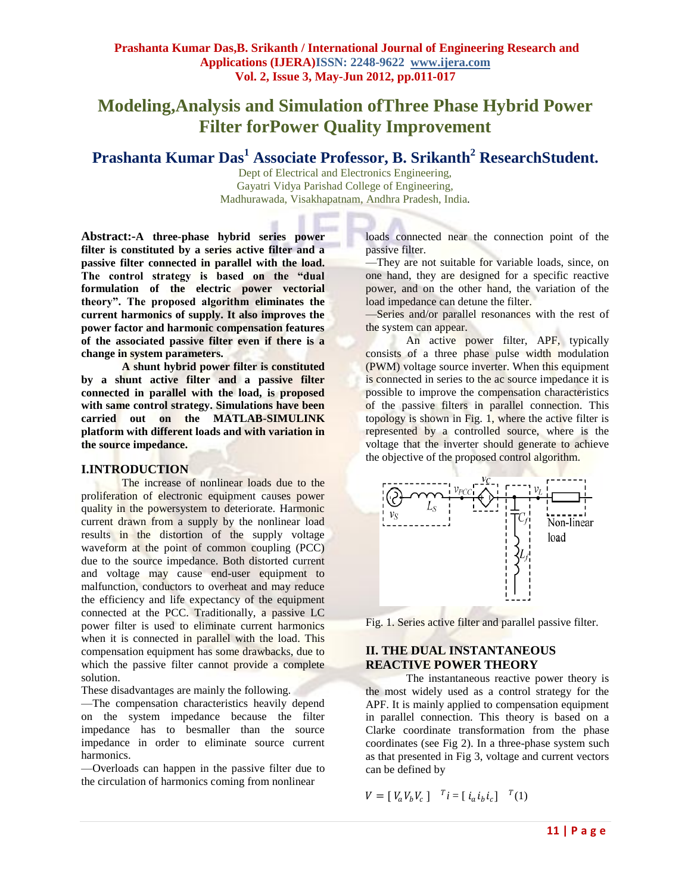# **Modeling,Analysis and Simulation ofThree Phase Hybrid Power Filter forPower Quality Improvement**

**Prashanta Kumar Das<sup>1</sup> Associate Professor, B. Srikanth<sup>2</sup> ResearchStudent.**

Dept of Electrical and Electronics Engineering, Gayatri Vidya Parishad College of Engineering, Madhurawada, Visakhapatnam, Andhra Pradesh, India*.*

**Abstract:-A three-phase hybrid series power filter is constituted by a series active filter and a passive filter connected in parallel with the load. The control strategy is based on the "dual formulation of the electric power vectorial theory". The proposed algorithm eliminates the current harmonics of supply. It also improves the power factor and harmonic compensation features of the associated passive filter even if there is a change in system parameters.**

**A shunt hybrid power filter is constituted by a shunt active filter and a passive filter connected in parallel with the load, is proposed with same control strategy. Simulations have been carried out on the MATLAB-SIMULINK platform with different loads and with variation in the source impedance.**

## **I.INTRODUCTION**

The increase of nonlinear loads due to the proliferation of electronic equipment causes power quality in the powersystem to deteriorate. Harmonic current drawn from a supply by the nonlinear load results in the distortion of the supply voltage waveform at the point of common coupling (PCC) due to the source impedance. Both distorted current and voltage may cause end-user equipment to malfunction, conductors to overheat and may reduce the efficiency and life expectancy of the equipment connected at the PCC. Traditionally, a passive LC power filter is used to eliminate current harmonics when it is connected in parallel with the load. This compensation equipment has some drawbacks, due to which the passive filter cannot provide a complete solution.

These disadvantages are mainly the following.

—The compensation characteristics heavily depend on the system impedance because the filter impedance has to besmaller than the source impedance in order to eliminate source current harmonics.

—Overloads can happen in the passive filter due to the circulation of harmonics coming from nonlinear

loads connected near the connection point of the passive filter.

—They are not suitable for variable loads, since, on one hand, they are designed for a specific reactive power, and on the other hand, the variation of the load impedance can detune the filter.

—Series and/or parallel resonances with the rest of the system can appear.

An active power filter, APF, typically consists of a three phase pulse width modulation (PWM) voltage source inverter. When this equipment is connected in series to the ac source impedance it is possible to improve the compensation characteristics of the passive filters in parallel connection. This topology is shown in Fig. 1, where the active filter is represented by a controlled source, where is the voltage that the inverter should generate to achieve the objective of the proposed control algorithm.



Fig. 1. Series active filter and parallel passive filter.

# **II. THE DUAL INSTANTANEOUS REACTIVE POWER THEORY**

The instantaneous reactive power theory is the most widely used as a control strategy for the APF. It is mainly applied to compensation equipment in parallel connection. This theory is based on a Clarke coordinate transformation from the phase coordinates (see Fig 2). In a three-phase system such as that presented in Fig 3, voltage and current vectors can be defined by

$$
V = [V_a V_b V_c] \quad {}^{T}i = [i_a i_b i_c] \quad {}^{T}(1)
$$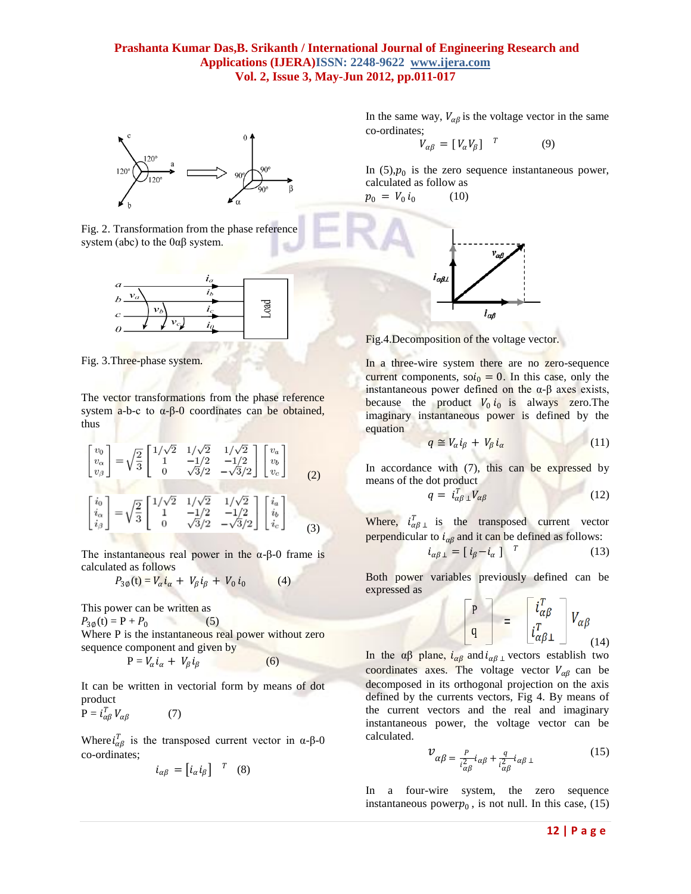

Fig. 2. Transformation from the phase reference system (abc) to the  $0\alpha\beta$  system.



Fig. 3.Three-phase system.

The vector transformations from the phase reference system  $a-b-c$  to  $α-β-0$  coordinates can be obtained, thus

$$
\begin{bmatrix} v_0 \\ v_\alpha \\ v_\beta \end{bmatrix} = \sqrt{\frac{2}{3}} \begin{bmatrix} 1/\sqrt{2} & 1/\sqrt{2} & 1/\sqrt{2} \\ 1 & -1/2 & -1/2 \\ 0 & \sqrt{3}/2 & -\sqrt{3}/2 \end{bmatrix} \begin{bmatrix} v_a \\ v_b \\ v_c \end{bmatrix}
$$
 (2)

$$
\begin{bmatrix} i_0 \\ i_\alpha \\ i_\beta \end{bmatrix} = \sqrt{\frac{2}{3}} \begin{bmatrix} 1/\sqrt{2} & 1/\sqrt{2} & 1/\sqrt{2} \\ 1 & -1/2 & -1/2 \\ 0 & \sqrt{3}/2 & -\sqrt{3}/2 \end{bmatrix} \begin{bmatrix} i_a \\ i_b \\ i_c \end{bmatrix}
$$
(3)

The instantaneous real power in the  $\alpha$ -β-0 frame is calculated as follows

$$
P_{3\emptyset}(\mathbf{t}) = V_{\alpha} \dot{\mathbf{i}}_{\alpha} + V_{\beta} \dot{\mathbf{i}}_{\beta} + V_0 \dot{\mathbf{i}}_0 \tag{4}
$$

This power can be written as

 $P_{30}(t) = P + P_0$ ×. (5)

Where P is the instantaneous real power without zero sequence component and given by

$$
P = V_{\alpha} i_{\alpha} + V_{\beta} i_{\beta} \tag{6}
$$

It can be written in vectorial form by means of dot product

$$
P = i_{\alpha\beta}^T V_{\alpha\beta} \tag{7}
$$

Where  $i_{\alpha\beta}^T$  is the transposed current vector in  $\alpha$ - $\beta$ -0 co-ordinates;

$$
i_{\alpha\beta}=\begin{bmatrix}i_\alpha i_\beta\end{bmatrix}^T\ (8)
$$

In the same way,  $V_{\alpha\beta}$  is the voltage vector in the same co-ordinates;

$$
V_{\alpha\beta} = [V_{\alpha}V_{\beta}]^{T}
$$
 (9)

In  $(5)$ , $p_0$  is the zero sequence instantaneous power, calculated as follow as

 $p_0 = V_0 i_0$ (10)



Fig.4.Decomposition of the voltage vector.

In a three-wire system there are no zero-sequence current components, so $i_0 = 0$ . In this case, only the instantaneous power defined on the α-β axes exists, because the product  $V_0 i_0$  is always zero. The imaginary instantaneous power is defined by the equation

$$
q \cong V_{\alpha} i_{\beta} + V_{\beta} i_{\alpha} \tag{11}
$$

In accordance with  $(7)$ , this can be expressed by means of the dot product

$$
q = i_{\alpha\beta}^T \, V_{\alpha\beta} \tag{12}
$$

Where,  $i_{\alpha\beta}^T$  is the transposed current vector perpendicular to  $i_{\alpha\beta}$  and it can be defined as follows:

$$
i_{\alpha\beta\perp} = \begin{bmatrix} i_{\beta} - i_{\alpha} \end{bmatrix}^T
$$
 (13)

Both power variables previously defined can be expressed as

 $\begin{bmatrix} P \\ q \end{bmatrix} = \begin{bmatrix} i_{\alpha\beta}^T \\ i_{\alpha\beta\perp}^T \end{bmatrix}$  $V_{\alpha\beta}$ (14)

In the αβ plane,  $i_{\alpha\beta}$  and  $i_{\alpha\beta}$  vectors establish two coordinates axes. The voltage vector  $V_{\alpha\beta}$  can be decomposed in its orthogonal projection on the axis defined by the currents vectors, Fig 4. By means of the current vectors and the real and imaginary instantaneous power, the voltage vector can be calculated.

$$
\mathcal{V}_{\alpha\beta} = \frac{P}{i_{\alpha\beta}^2} i_{\alpha\beta} + \frac{q}{i_{\alpha\beta}^2} i_{\alpha\beta} \perp
$$
 (15)

In a four-wire system, the zero sequence instantaneous power $p_0$ , is not null. In this case, (15)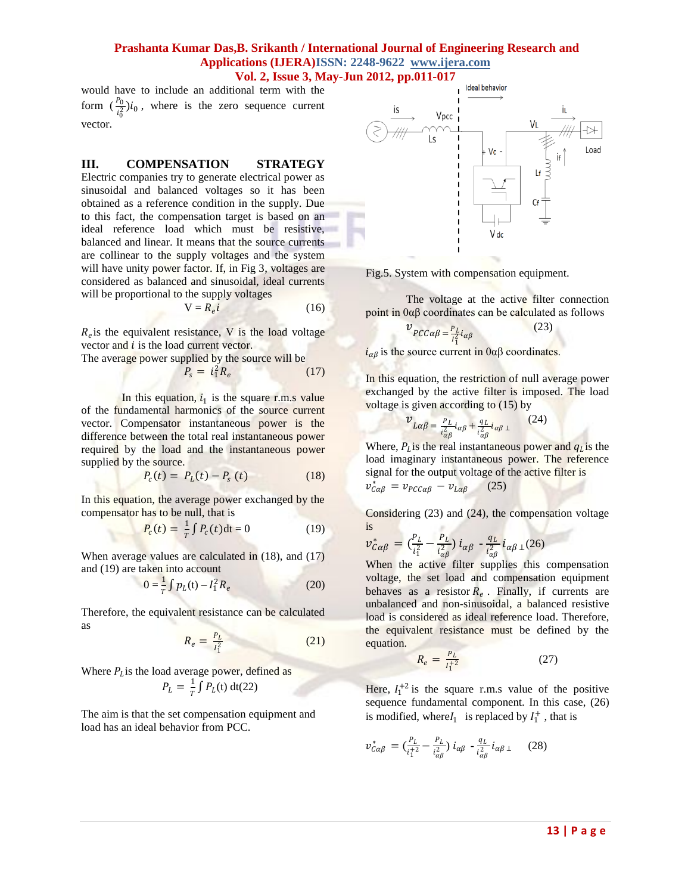would have to include an additional term with the form  $(\frac{p_0}{i_0^2})i_0$ , where is the zero sequence current vector.

#### **III. COMPENSATION STRATEGY**

Electric companies try to generate electrical power as sinusoidal and balanced voltages so it has been obtained as a reference condition in the supply. Due to this fact, the compensation target is based on an ideal reference load which must be resistive, balanced and linear. It means that the source currents are collinear to the supply voltages and the system will have unity power factor. If, in Fig 3, voltages are considered as balanced and sinusoidal, ideal currents will be proportional to the supply voltages

$$
V = R_e i \tag{16}
$$

 $R_e$  is the equivalent resistance, V is the load voltage vector and *i* is the load current vector.

The average power supplied by the source will be  $P_s = i_1^2 R_e$ (17)

In this equation,  $i_1$  is the square r.m.s value of the fundamental harmonics of the source current vector. Compensator instantaneous power is the difference between the total real instantaneous power required by the load and the instantaneous power supplied by the source.

$$
P_c(t) = P_L(t) - P_s(t)
$$
 (18)

In this equation, the average power exchanged by the compensator has to be null, that is

$$
P_c(t) = \frac{1}{T} \int P_c(t) dt = 0
$$
 (19)

When average values are calculated in (18), and (17) and (19) are taken into account

$$
0 = \frac{1}{T} \int p_L(t) - I_1^2 R_e
$$
 (20)

Therefore, the equivalent resistance can be calculated as

$$
R_e = \frac{P_L}{I_1^2} \tag{21}
$$

Where  $P_L$  is the load average power, defined as

$$
P_L = \frac{1}{T} \int P_L(t) \, \mathrm{dt}(22)
$$

The aim is that the set compensation equipment and load has an ideal behavior from PCC.



Fig.5. System with compensation equipment.

The voltage at the active filter connection point in  $0\alpha\beta$  coordinates can be calculated as follows

$$
\mathcal{V}_{PCC\alpha\beta} = \frac{P_L}{I_1^2} i_{\alpha\beta} \tag{23}
$$

 $i_{\alpha\beta}$  is the source current in 0αβ coordinates.

In this equation, the restriction of null average power exchanged by the active filter is imposed. The load voltage is given according to (15) by

$$
\nu_{L\alpha\beta} = \frac{P_L}{i_{\alpha\beta}^2} i_{\alpha\beta} + \frac{q_L}{i_{\alpha\beta}^2} i_{\alpha\beta} \tag{24}
$$

Where,  $P_{L}$  is the real instantaneous power and  $q_{L}$  is the load imaginary instantaneous power. The reference signal for the output voltage of the active filter is  $v_{c\alpha\beta}^* = v_{\text{PCC}\alpha\beta} - v_{\text{L}\alpha\beta}$  (25)

Considering  $(23)$  and  $(24)$ , the compensation voltage is

$$
v_{C\alpha\beta}^* = \left(\frac{P_L}{i_1^2} - \frac{P_L}{i_{\alpha\beta}^2}\right) i_{\alpha\beta} - \frac{q_L}{i_{\alpha\beta}^2} i_{\alpha\beta\perp}(26)
$$

When the active filter supplies this compensation voltage, the set load and compensation equipment behaves as a resistor  $R_e$ . Finally, if currents are unbalanced and non-sinusoidal, a balanced resistive load is considered as ideal reference load. Therefore, the equivalent resistance must be defined by the equation.

$$
R_e = \frac{P_L}{I_1^{+2}}\tag{27}
$$

Here,  $I_1^{+2}$  is the square r.m.s value of the positive sequence fundamental component. In this case, (26) is modified, where  $I_1$  is replaced by  $I_1^+$ , that is

$$
v_{\mathcal{C}\alpha\beta}^{*} = \left(\frac{P_L}{i_1^{\,2}} - \frac{P_L}{i_{\alpha\beta}^{\,2}}\right) i_{\alpha\beta} \cdot \frac{q_L}{i_{\alpha\beta}^{\,2}} i_{\alpha\beta\,\perp} \qquad (28)
$$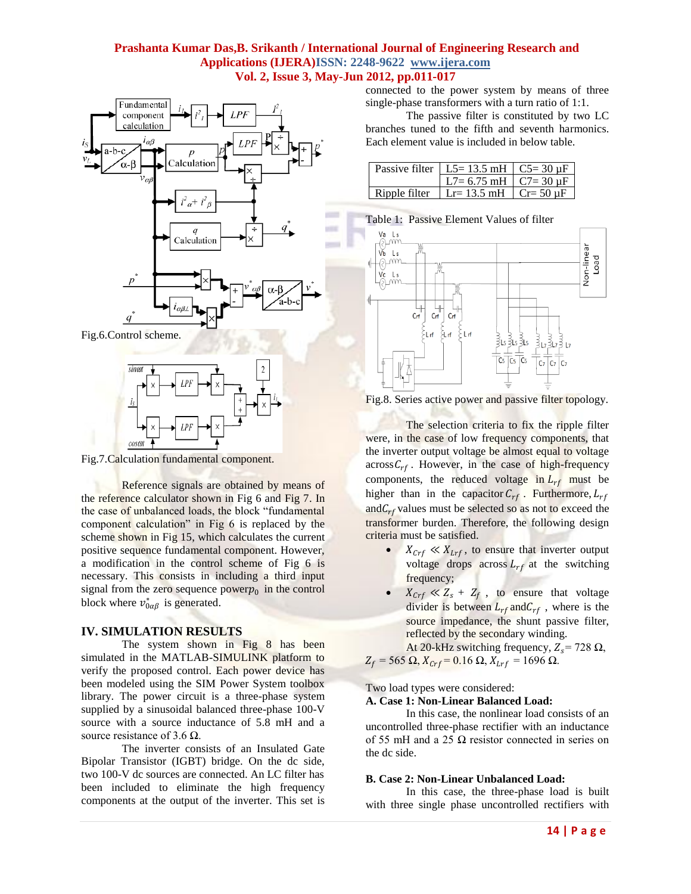



Fig.7.Calculation fundamental component.

Reference signals are obtained by means of the reference calculator shown in Fig 6 and Fig 7. In the case of unbalanced loads, the block "fundamental" component calculation" in Fig 6 is replaced by the scheme shown in Fig 15, which calculates the current positive sequence fundamental component. However, a modification in the control scheme of Fig 6 is necessary. This consists in including a third input signal from the zero sequence power $p_0$  in the control block where  $v_{0\alpha\beta}^{*}$  is generated.

# **IV. SIMULATION RESULTS**

The system shown in Fig 8 has been simulated in the MATLAB-SIMULINK platform to verify the proposed control. Each power device has been modeled using the SIM Power System toolbox library. The power circuit is a three-phase system supplied by a sinusoidal balanced three-phase 100-V source with a source inductance of 5.8 mH and a source resistance of 3.6  $\Omega$ .

The inverter consists of an Insulated Gate Bipolar Transistor (IGBT) bridge. On the dc side, two 100-V dc sources are connected. An LC filter has been included to eliminate the high frequency components at the output of the inverter. This set is connected to the power system by means of three single-phase transformers with a turn ratio of 1:1.

The passive filter is constituted by two LC branches tuned to the fifth and seventh harmonics. Each element value is included in below table.

|               | Passive filter   L5= 13.5 mH   C5= 30 $\mu$ F |  |
|---------------|-----------------------------------------------|--|
|               | L7= 6.75 mH $\mid$ C7= 30 uF                  |  |
| Ripple filter | Lr= 13.5 mH $\vert$ Cr= 50 uF                 |  |



Fig.8. Series active power and passive filter topology.

The selection criteria to fix the ripple filter were, in the case of low frequency components, that the inverter output voltage be almost equal to voltage  $acrossC<sub>rf</sub>$ . However, in the case of high-frequency components, the reduced voltage in  $L_{rf}$  must be higher than in the capacitor  $C_{rf}$ . Furthermore,  $L_{rf}$ and  $C_{rf}$  values must be selected so as not to exceed the transformer burden. Therefore, the following design criteria must be satisfied.

- $X_{Crf} \ll X_{Lrf}$ , to ensure that inverter output voltage drops across  $L_{rf}$  at the switching frequency;
- $X_{Crf} \ll Z_s + Z_f$ , to ensure that voltage divider is between  $L_{rf}$  and  $C_{rf}$ , where is the source impedance, the shunt passive filter, reflected by the secondary winding.

At 20-kHz switching frequency,  $Z_s$  = 728  $\Omega$ ,  $Z_f$  = 565 Ω,  $X_{Crf}$  = 0.16 Ω,  $X_{Lrf}$  = 1696 Ω.

Two load types were considered:

#### **A. Case 1: Non-Linear Balanced Load:**

In this case, the nonlinear load consists of an uncontrolled three-phase rectifier with an inductance of 55 mH and a 25  $\Omega$  resistor connected in series on the dc side.

## **B. Case 2: Non-Linear Unbalanced Load:**

In this case, the three-phase load is built with three single phase uncontrolled rectifiers with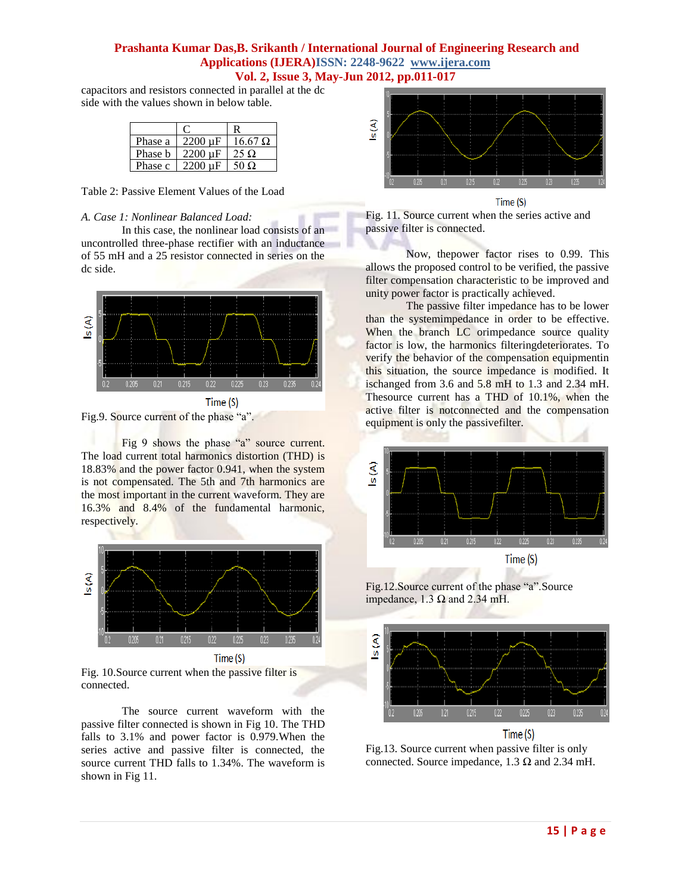capacitors and resistors connected in parallel at the dc side with the values shown in below table.

| Phase a | $2200 \text{ uF}$ | $16.67 \Omega$ |
|---------|-------------------|----------------|
| Phase b | $2200 \mu F$      | 25 $\Omega$    |
| Phase c | 2200 uF           | 50 O           |

Table 2: Passive Element Values of the Load

#### *A. Case 1: Nonlinear Balanced Load:*

In this case, the nonlinear load consists of an uncontrolled three-phase rectifier with an inductance of 55 mH and a 25 resistor connected in series on the dc side.



Fig.9. Source current of the phase "a".

Fig 9 shows the phase "a" source current. The load current total harmonics distortion (THD) is 18.83% and the power factor 0.941, when the system is not compensated. The 5th and 7th harmonics are the most important in the current waveform. They are 16.3% and 8.4% of the fundamental harmonic, respectively.



Fig. 10.Source current when the passive filter is connected.

The source current waveform with the passive filter connected is shown in Fig 10. The THD falls to 3.1% and power factor is 0.979.When the series active and passive filter is connected, the source current THD falls to 1.34%. The waveform is shown in Fig 11.



Fig. 11. Source current when the series active and passive filter is connected.

Now, thepower factor rises to 0.99. This allows the proposed control to be verified, the passive filter compensation characteristic to be improved and unity power factor is practically achieved.

The passive filter impedance has to be lower than the systemimpedance in order to be effective. When the branch LC orimpedance source quality factor is low, the harmonics filteringdeteriorates. To verify the behavior of the compensation equipmentin this situation, the source impedance is modified. It ischanged from 3.6 and 5.8 mH to 1.3 and 2.34 mH. Thesource current has a THD of 10.1%, when the active filter is notconnected and the compensation equipment is only the passivefilter.



Fig.12. Source current of the phase "a". Source impedance, 1.3  $\Omega$  and 2.34 mH.



Fig.13. Source current when passive filter is only connected. Source impedance, 1.3  $\Omega$  and 2.34 mH.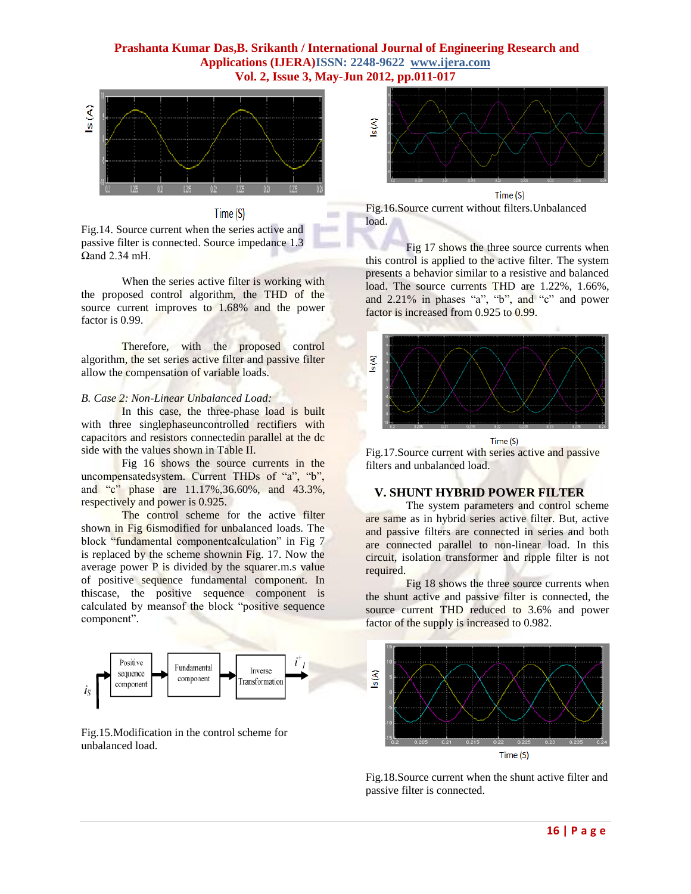$\equiv$ 





Fig.14. Source current when the series active and passive filter is connected. Source impedance 1.3 Ωand 2.34 mH.

When the series active filter is working with the proposed control algorithm, the THD of the source current improves to 1.68% and the power factor is 0.99.

Therefore, with the proposed control algorithm, the set series active filter and passive filter allow the compensation of variable loads.

#### *B. Case 2: Non-Linear Unbalanced Load:*

In this case, the three-phase load is built with three singlephaseuncontrolled rectifiers with capacitors and resistors connectedin parallel at the dc side with the values shown in Table II.

Fig 16 shows the source currents in the uncompensatedsystem. Current THDs of "a", "b", and "c" phase are  $11.17\%,36.60\%$ , and  $43.3\%$ . respectively and power is 0.925.

The control scheme for the active filter shown in Fig 6ismodified for unbalanced loads. The block "fundamental componentcalculation" in Fig 7 is replaced by the scheme shownin Fig. 17. Now the average power P is divided by the squarer.m.s value of positive sequence fundamental component. In thiscase, the positive sequence component is calculated by meansof the block "positive sequence component".



Fig.15.Modification in the control scheme for unbalanced load.



Fig.16.Source current without filters.Unbalanced load.

Fig 17 shows the three source currents when this control is applied to the active filter. The system presents a behavior similar to a resistive and balanced load. The source currents THD are 1.22%, 1.66%, and  $2.21\%$  in phases "a", "b", and "c" and power factor is increased from 0.925 to 0.99.



Time (S)

Fig.17.Source current with series active and passive filters and unbalanced load.

# **V. SHUNT HYBRID POWER FILTER**

The system parameters and control scheme are same as in hybrid series active filter. But, active and passive filters are connected in series and both are connected parallel to non-linear load. In this circuit, isolation transformer and ripple filter is not required.

Fig 18 shows the three source currents when the shunt active and passive filter is connected, the source current THD reduced to 3.6% and power factor of the supply is increased to 0.982.



Fig.18.Source current when the shunt active filter and passive filter is connected.